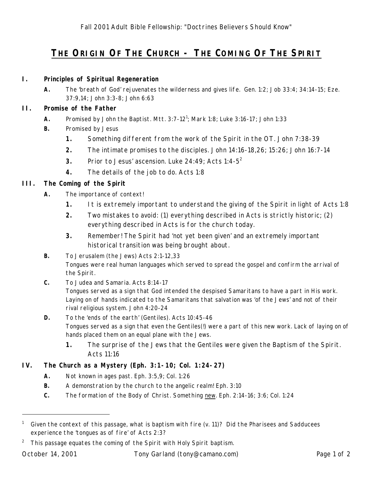# **THE ORIGIN OF THE CHURCH - THE COMING OF THE SPIRIT**

#### **I. Principles of Spiritual Regeneration**

**A.** The 'breath of God' rejuvenates the wilderness and gives life. Gen. 1:2; Job 33:4; 34:14-15; Eze. 37:9,14; John 3:3-8; John 6:63

#### **II. Promise of the Father**

- **A.** Promised by John the Baptist. Mtt.  $3:7-12^1$ ; Mark 1:8; Luke  $3:16-17$ ; John 1:33
- **B.** Promised by Jesus
	- **1.** Something different from the work of the Spirit in the OT. John 7:38-39
	- **2.** The intimate promises to the disciples. John 14:16-18,26; 15:26; John 16:7-14
	- **3.** Prior to Jesus' ascension. Luke 24:49; Acts 1:4-5<sup>2</sup>
	- **4.** The details of the job to do. Acts 1:8

## **III. The Coming of the Spirit**

- **A.** The importance of context!
	- **1.** It is extremely important to understand the giving of the Spirit in light of Acts 1:8
	- **2.** Two mistakes to avoid: (1) *everything* described in Acts is strictly historic; (2) *everything* described in Acts is for the church today.
	- **3.** Remember! The Spirit had 'not yet been given' and an extremely important historical transition was being brought about.
- **B.** To Jerusalem (the Jews) Acts 2:1-12,33 Tongues were real human languages which served to spread the gospel and confirm the arrival of the Spirit.
- **C.** To Judea and Samaria. Acts 8:14-17 Tongues served as a sign that God intended the despised Samaritans to have a part in His work. Laying on of hands indicated to the Samaritans that salvation was 'of the Jews' and not of their rival religious system. John 4:20-24
- **D.** To the 'ends of the earth' (Gentiles). Acts 10:45-46 Tongues served as a sign that even the Gentiles(!) were a part of this new work. Lack of laying on of hands placed them on an equal plane with the Jews.
	- **1.** The surprise of the Jews that the Gentiles were given the Baptism of the Spirit. Acts 11:16

### **IV. The Church as a Mystery (Eph. 3:1-10; Col. 1:24-27)**

- **A.** Not known in ages past. Eph. 3:5,9; Col. 1:26
- **B.** A demonstration by the church to the angelic realm! Eph. 3:10
- **C.** The formation of the Body of Christ. Something new. Eph. 2:14-16; 3:6; Col. 1:24

-

<sup>&</sup>lt;sup>1</sup> Given the context of this passage, what is *baptism with fire* (v. 11)? Did the Pharisees and Sadducees experience the 'tongues as of fire' of Acts 2:3?

<sup>&</sup>lt;sup>2</sup> This passage equates the coming of the Spirit with Holy Spirit baptism.